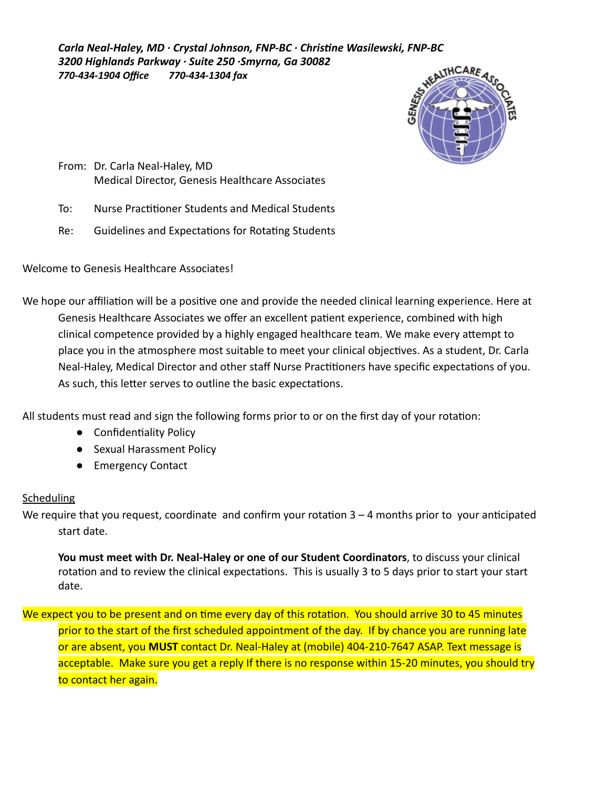Carla Neal-Haley, MD · Crystal Johnson, FNP-BC · Christine Wasilewski, FNP-BC *3200 Highlands Parkway · Suite 250 ·Smyrna, Ga 30082 770-434-1904 Office 770-434-1304 fax*



- From: Dr. Carla Neal-Haley, MD Medical Director, Genesis Healthcare Associates
- To: Nurse Practitioner Students and Medical Students
- Re: Guidelines and Expectations for Rotating Students

Welcome to Genesis Healthcare Associates!

We hope our affiliation will be a positive one and provide the needed clinical learning experience. Here at Genesis Healthcare Associates we offer an excellent patient experience, combined with high clinical competence provided by a highly engaged healthcare team. We make every attempt to place you in the atmosphere most suitable to meet your clinical objectives. As a student, Dr. Carla Neal-Haley, Medical Director and other staff Nurse Practitioners have specific expectations of you. As such, this letter serves to outline the basic expectations.

All students must read and sign the following forms prior to or on the first day of your rotation:

- Confidentiality Policy
- Sexual Harassment Policy
- Emergency Contact

# **Scheduling**

We require that you request, coordinate and confirm your rotation  $3 - 4$  months prior to your anticipated start date.

**You must meet with Dr. Neal-Haley or one of our Student Coordinators** , to discuss your clinical rotation and to review the clinical expectations. This is usually 3 to 5 days prior to start your start date.

We expect you to be present and on time every day of this rotation. You should arrive 30 to 45 minutes prior to the start of the first scheduled appointment of the day. If by chance you are running late or are absent, you **MUST** contact Dr. Neal-Haley at (mobile) 404-210-7647 ASAP. Text message is acceptable. Make sure you get a reply If there is no response within 15-20 minutes, you should try to contact her again.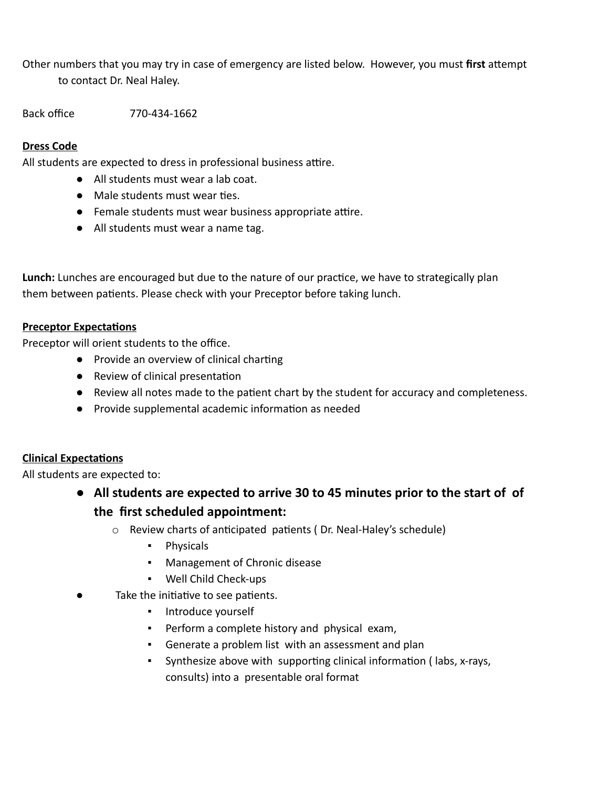Other numbers that you may try in case of emergency are listed below. However, you must first attempt to contact Dr. Neal Haley.

Back office 770-434-1662

## **Dress Code**

All students are expected to dress in professional business attire.

- All students must wear a lab coat.
- $\bullet$  Male students must wear ties.
- Female students must wear business appropriate attire.
- All students must wear a name tag.

Lunch: Lunches are encouraged but due to the nature of our practice, we have to strategically plan them between patients. Please check with your Preceptor before taking lunch.

#### **Preceptor Expectations**

Preceptor will orient students to the office.

- $\bullet$  Provide an overview of clinical charting
- Review of clinical presentation
- Review all notes made to the patient chart by the student for accuracy and completeness.
- Provide supplemental academic information as needed

### **Clinical Expectations**

All students are expected to:

- **● All students are expected to arrive 30 to 45 minutes prior to the start of of the first scheduled appointment:**
	- $\circ$  Review charts of anticipated patients (Dr. Neal-Haley's schedule)
		- Physicals
		- Management of Chronic disease
		- Well Child Check-ups
- Take the initiative to see patients.
	- Introduce yourself
	- Perform a complete history and physical exam,
	- Generate a problem list with an assessment and plan
	- Synthesize above with supporting clinical information (labs, x-rays, consults) into a presentable oral format